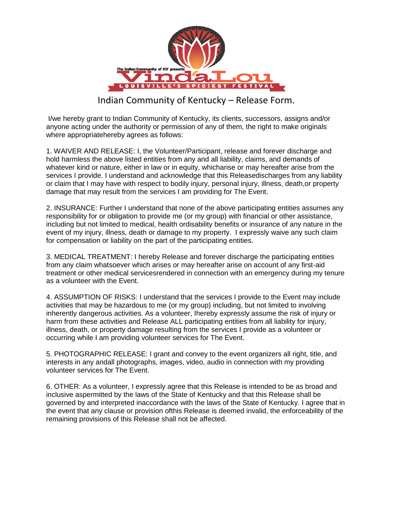

## Indian Community of Kentucky – Release Form.

I/we hereby grant to Indian Community of Kentucky, its clients, successors, assigns and/or anyone acting under the authority or permission of any of them, the right to make originals where appropriatehereby agrees as follows:

1. WAIVER AND RELEASE: I, the Volunteer/Participant, release and forever discharge and hold harmless the above listed entities from any and all liability, claims, and demands of whatever kind or nature, either in law or in equity, whicharise or may hereafter arise from the services I provide. I understand and acknowledge that this Releasedischarges from any liability or claim that I may have with respect to bodily injury, personal injury, illness, death,or property damage that may result from the services I am providing for The Event.

2. INSURANCE: Further I understand that none of the above participating entities assumes any responsibility for or obligation to provide me (or my group) with financial or other assistance, including but not limited to medical, health ordisability benefits or insurance of any nature in the event of my injury, illness, death or damage to my property. I expressly waive any such claim for compensation or liability on the part of the participating entities.

3. MEDICAL TREATMENT: I hereby Release and forever discharge the participating entities from any claim whatsoever which arises or may hereafter arise on account of any first-aid treatment or other medical servicesrendered in connection with an emergency during my tenure as a volunteer with the Event.

4. ASSUMPTION OF RISKS: I understand that the services I provide to the Event may include activities that may be hazardous to me (or my group) including, but not limited to involving inherently dangerous activities. As a volunteer, Ihereby expressly assume the risk of injury or harm from these activities and Release ALL participating entities from all liability for injury, illness, death, or property damage resulting from the services I provide as a volunteer or occurring while I am providing volunteer services for The Event.

5. PHOTOGRAPHIC RELEASE: I grant and convey to the event organizers all right, title, and interests in any andall photographs, images, video, audio in connection with my providing volunteer services for The Event.

6. OTHER: As a volunteer, I expressly agree that this Release is intended to be as broad and inclusive aspermitted by the laws of the State of Kentucky and that this Release shall be governed by and interpreted inaccordance with the laws of the State of Kentucky. I agree that in the event that any clause or provision ofthis Release is deemed invalid, the enforceability of the remaining provisions of this Release shall not be affected.